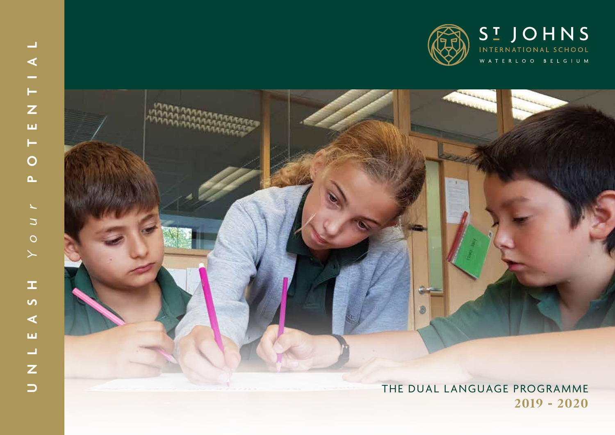

# $\frac{1}{z}$  $\bar{\mathbf{u}}$  $\vdash$  $\overline{O}$  $\Delta$ YOUL  $\mathbb{Z}$  $\overline{a}$  $\blacktriangleleft$ ய  $\begin{array}{c}\nU \\
U\n\end{array}$

 $\equiv$ 

 $\blacktriangleleft$ 

## THE DUAL LANGUAGE PROGRAMME  $2019 - 2020$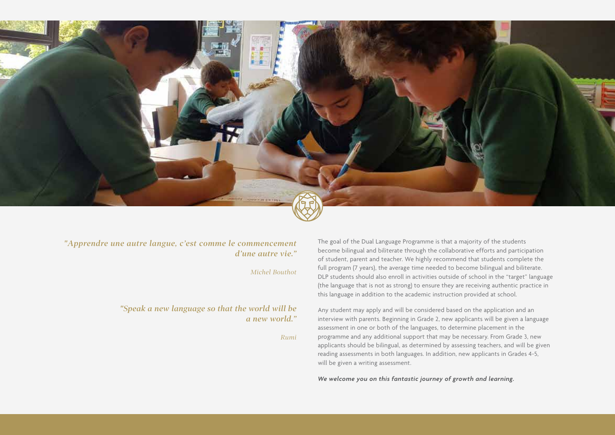

### "Apprendre une autre langue, c'est comme le commencement *d'une autre vie."*

*Michel Bouthot*

### environment rich in hands on activities. Homeroom teachers are supported by our school language specialists. Individual student needs are taken into consideration *"Speak a new language so that the world will be a new world."*

*Rumi*

The goal of the Dual Language Programme is that a majority of the students become bilingual and biliterate through the collaborative efforts and participation or statent, parent and teacher. We mging recommend that statents comprete the<br>full program (7 years), the average time needed to become bilingual and biliterate. Tuit program (7 years), the average time needed to become biningual and binterate.<br>DLP students should also enroll in activities outside of school in the "target" language of student, parent and teacher. We highly recommend that students complete the (the language that is not as strong) to ensure they are receiving authentic practice in this language in addition to the academic instruction provided at school.

interview with parents. Beginning in Grade 2, new applicants will be given a language assessment in one or both of the languages, to determine placement in the programme and any additional support that may be necessary. From Grade 3, new programme and any additional experimenting sensessing teachers, and will be given<br>applicants should be bilingual, as determined by assessing teachers, and will be given reading assessments in both languages. In addition, new applicants in Grades 4-5, will be given a writing assessment. Any student may apply and will be considered based on the application and an

*We welcome you on this fantastic journey of growth and learning.*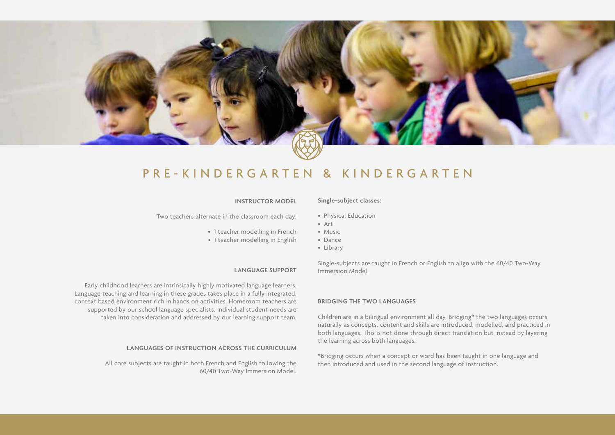

# PRE-KINDERGARTEN & KINDERGARTEN PRE-KINDERGARTEN & KINDERGARTEN

#### **INSTRUCTOR MODEL**

Two teachers alternate in the classroom each day: Two teachers alternate in the classroom each day:

- 1 teacher modelling in French
- 1 teacher modelling in English

### **LANGUAGE SUPPORT**

Early childhood learners are intrinsically highly motivated language learners. Language teaching and learning in these grades takes place in a fully integrated, context based environment rich in hands on activities. Homeroom teachers are supported by our school language specialists. Individual student needs are taken into consideration and addressed by our learning support team. Early childhood learners are intrinsically highly motivated language learners.<br>Language teaching and learning in these grades takes place in a fully integrated,<br>context based environment rich in hands on activities. Homero

### **LANGUAGES OF INSTRUCTION ACROSS THE CURRICULUM LANGUAGES OF INSTRUCTION ACROSS THE CURRICULUM**

All core subjects are taught in both French and English following the 60/40 Two Way All core subjects are taught in both French and English following the 60/40 Two-Way Immersion Model.

### **Single-subject classes:**

- Physical Education Physical Education
- Art Art
- Music Music
- Dance Dance
- Library Library

Single-subjects are taught in French or English to align with the 60/40 Two-Way are taught in French or English to align with the 60/40 Two-Way Immersion Model.

### **BRIDGING THE TWO LANGUAGES**

Children are in a bilingual environment all day. Bridging\* the two languages occurs in a bilingual environment all day. Bridging\* the two languages occurs naturally as concepts, content and skills are introduced, modelled, and practiced in as concepts, content and skills are introduced, modelled, and practiced in both languages. This is not done through direct translation but instead by layering languages. This is not done through direct translation but instead by layering the learning across both languages.

\*Bridging occurs when a concept or word has been taught in one language and then introduced and used in the second language of instruction. then introduced and used in the second language of instruction.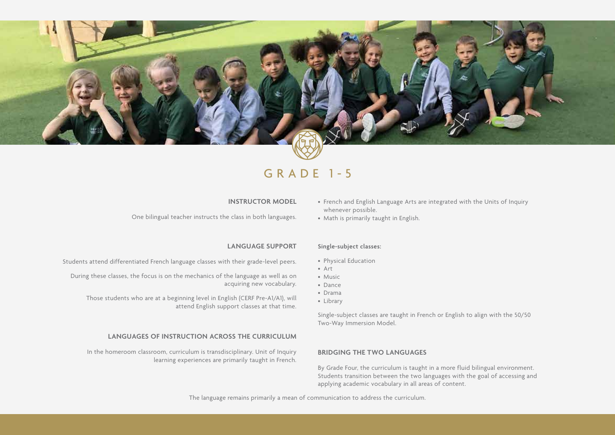

### GRADE 1-5

### **INSTRUCTOR MODEL**

One bilingual teacher instructs the class in both languages.

### **LANGUAGE SUPPORT**

Students attend differentiated French language classes with their grade-level peers.

During these classes, the focus is on the mechanics of the language as well as on acquiring new vocabulary.

Those students who are at a beginning level in English (CERF Pre-A1/A1), will attend English support classes at that time.

#### **LANGUAGES OF INSTRUCTION ACROSS THE CURRICULUM**

In the homeroom classroom, curriculum is transdisciplinary. Unit of Inquiry learning experiences are primarily taught in French.

- French and English Language Arts are integrated with the Units of Inquiry whenever possible.
- Math is primarily taught in English.

### **Single-subject classes:**

- Physical Education
- Art
- Music
- Dance
- Drama
- Library

Single-subject classes are taught in French or English to align with the 50/50 Two-Way Immersion Model.

#### **BRIDGING THE TWO LANGUAGES**

By Grade Four, the curriculum is taught in a more fluid bilingual environment. Students transition between the two languages with the goal of accessing and applying academic vocabulary in all areas of content.

The language remains primarily a mean of communication to address the curriculum.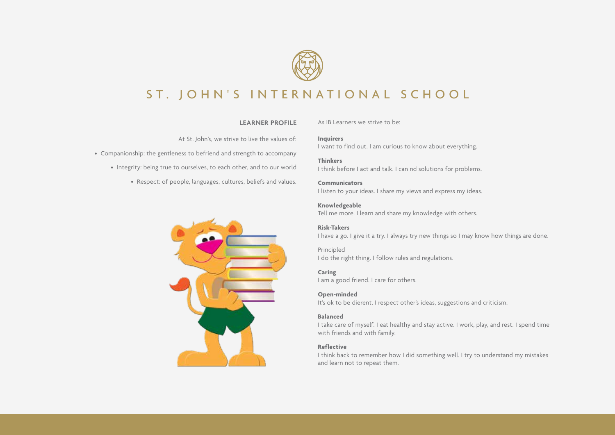

# ST. JOHN'S INTERNATIONAL SCHOOL

### **LEARNER PROFILE**

At St. John's, we strive to live the values of:

- Companionship: the gentleness to befriend and strength to accompany
	- Integrity: being true to ourselves, to each other, and to our world
		- Respect: of people, languages, cultures, beliefs and values.

As IB Learners we strive to be:

**Inquirers** I want to find out. I am curious to know about everything.

**Thinkers** I think before I act and talk. I can nd solutions for problems.

**Communicators** I listen to your ideas. I share my views and express my ideas.

**Knowledgeable** Tell me more. I learn and share my knowledge with others.

**Risk-Takers** I have a go. I give it a try. I always try new things so I may know how things are done.

Principled I do the right thing. I follow rules and regulations.

**Caring** I am a good friend. I care for others.

**Open-minded** It's ok to be dierent. I respect other's ideas, suggestions and criticism.

### **Balanced**

I take care of myself. I eat healthy and stay active. I work, play, and rest. I spend time with friends and with family.

#### **Reflective**

I think back to remember how I did something well. I try to understand my mistakes and learn not to repeat them.